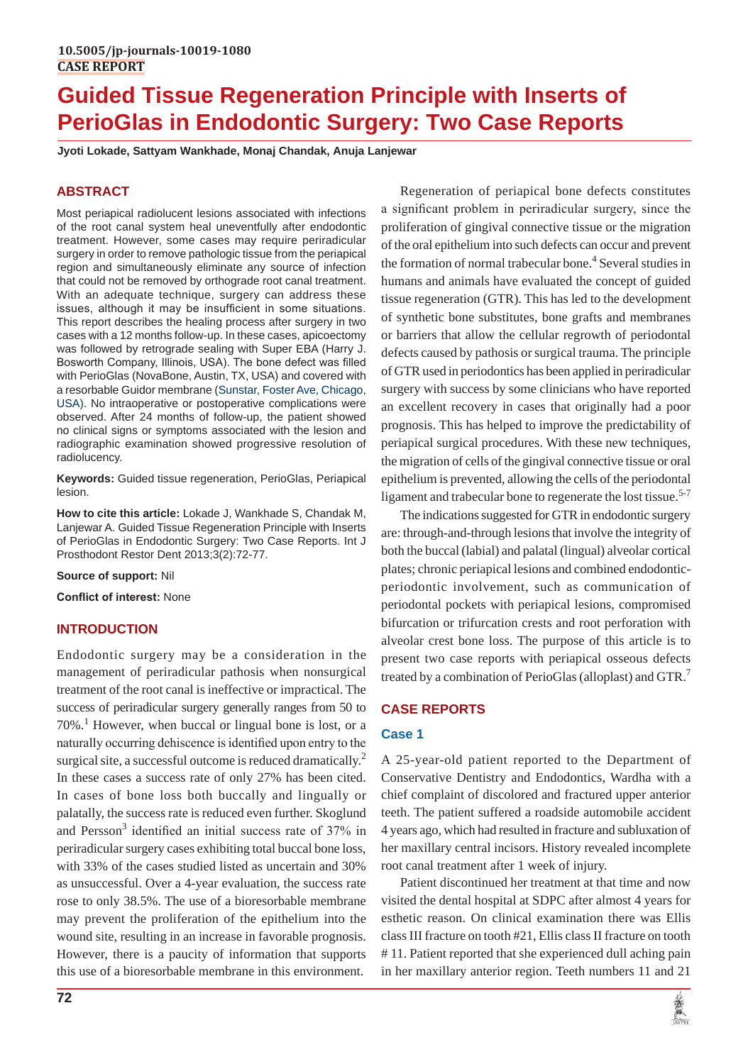# **Guided Tissue Regeneration Principle with Inserts of PerioGlas in Endodontic Surgery: Two Case Reports**

**Jyoti Lokade, Sattyam Wankhade, Monaj Chandak, Anuja Lanjewar**

# **ABSTRACT**

Most periapical radiolucent lesions associated with infections of the root canal system heal uneventfully after endodontic treatment. However, some cases may require periradicular surgery in order to remove pathologic tissue from the periapical region and simultaneously eliminate any source of infection that could not be removed by orthograde root canal treatment. With an adequate technique, surgery can address these issues, although it may be insufficient in some situations. This report describes the healing process after surgery in two cases with a 12 months follow-up. In these cases, apicoectomy was followed by retrograde sealing with Super EBA (Harry J. Bosworth Company, Illinois, USA). The bone defect was filled with PerioGlas (NovaBone, Austin, TX, USA) and covered with a resorbable Guidor membrane (Sunstar, Foster Ave, Chicago, USA). No intraoperative or postoperative complications were observed. After 24 months of follow-up, the patient showed no clinical signs or symptoms associated with the lesion and radiographic examination showed progressive resolution of radiolucency.

**Keywords:** Guided tissue regeneration, PerioGlas, Periapical lesion.

**How to cite this article:** Lokade J, Wankhade S, Chandak M, Lanjewar A. Guided Tissue Regeneration Principle with Inserts of PerioGlas in Endodontic Surgery: Two Case Reports. Int J Prosthodont Restor Dent 2013;3(2):72-77.

**Source of support:** Nil

**Conflict of interest:** None

# **INTRODUCTION**

Endodontic surgery may be a consideration in the management of periradicular pathosis when nonsurgical treatment of the root canal is ineffective or impractical. The success of periradicular surgery generally ranges from 50 to 70%.<sup>1</sup> However, when buccal or lingual bone is lost, or a naturally occurring dehiscence is identified upon entry to the surgical site, a successful outcome is reduced dramatically.<sup>2</sup> In these cases a success rate of only 27% has been cited. In cases of bone loss both buccally and lingually or palatally, the success rate is reduced even further. Skoglund and Persson<sup>3</sup> identified an initial success rate of 37% in periradicular surgery cases exhibiting total buccal bone loss, with 33% of the cases studied listed as uncertain and 30% as unsuccessful. Over a 4-year evaluation, the success rate rose to only 38.5%. The use of a bioresorbable membrane may prevent the proliferation of the epithelium into the wound site, resulting in an increase in favorable prognosis. However, there is a paucity of information that supports this use of a bioresorbable membrane in this environment.

Regeneration of periapical bone defects constitutes a significant problem in periradicular surgery, since the proliferation of gingival connective tissue or the migration of the oral epithelium into such defects can occur and prevent the formation of normal trabecular bone.<sup>4</sup> Several studies in humans and animals have evaluated the concept of guided tissue regeneration (GTR). This has led to the development of synthetic bone substitutes, bone grafts and membranes or barriers that allow the cellular regrowth of periodontal defects caused by pathosis or surgical trauma. The principle of GTR used in periodontics has been applied in periradicular surgery with success by some clinicians who have reported an excellent recovery in cases that originally had a poor prognosis. This has helped to improve the predictability of periapical surgical procedures. With these new techniques, the migration of cells of the gingival connective tissue or oral epithelium is prevented, allowing the cells of the periodontal ligament and trabecular bone to regenerate the lost tissue.<sup>5-7</sup>

The indications suggested for GTR in endodontic surgery are: through-and-through lesions that involve the integrity of both the buccal (labial) and palatal (lingual) alveolar cortical plates; chronic periapical lesions and combined endodonticperiodontic involvement, such as communication of periodontal pockets with periapical lesions, compromised bifurcation or trifurcation crests and root perforation with alveolar crest bone loss. The purpose of this article is to present two case reports with periapical osseous defects treated by a combination of PerioGlas (alloplast) and  $GTR$ <sup>7</sup>

# **CASE REPORTS**

## **Case 1**

A 25-year-old patient reported to the Department of Conservative Dentistry and Endodontics, Wardha with a chief complaint of discolored and fractured upper anterior teeth. The patient suffered a roadside automobile accident 4 years ago, which had resulted in fracture and subluxation of her maxillary central incisors. History revealed incomplete root canal treatment after 1 week of injury.

Patient discontinued her treatment at that time and now visited the dental hospital at SDPC after almost 4 years for esthetic reason. On clinical examination there was Ellis class III fracture on tooth #21, Ellis class II fracture on tooth # 11. Patient reported that she experienced dull aching pain in her maxillary anterior region. Teeth numbers 11 and 21

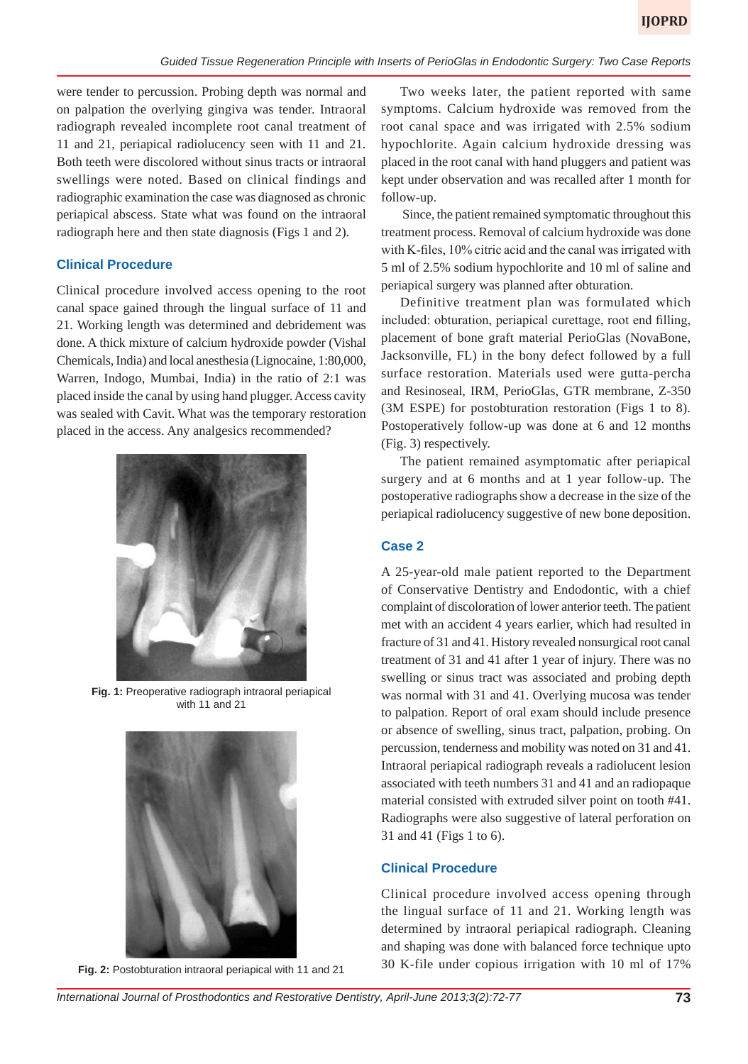were tender to percussion. Probing depth was normal and on palpation the overlying gingiva was tender. Intraoral radiograph revealed incomplete root canal treatment of 11 and 21, periapical radiolucency seen with 11 and 21. Both teeth were discolored without sinus tracts or intraoral swellings were noted. Based on clinical findings and radiographic examination the case was diagnosed as chronic periapical abscess. State what was found on the intraoral radiograph here and then state diagnosis (Figs 1 and 2).

## **Clinical Procedure**

Clinical procedure involved access opening to the root canal space gained through the lingual surface of 11 and 21. Working length was determined and debridement was done. A thick mixture of calcium hydroxide powder (Vishal Chemicals, India) and local anesthesia (Lignocaine, 1:80,000, Warren, Indogo, Mumbai, India) in the ratio of 2:1 was placed inside the canal by using hand plugger. Access cavity was sealed with Cavit. What was the temporary restoration placed in the access. Any analgesics recommended?



**Fig. 1:** Preoperative radiograph intraoral periapical with 11 and 21



**Fig. 2:** Postobturation intraoral periapical with 11 and 21

Two weeks later, the patient reported with same symptoms. Calcium hydroxide was removed from the root canal space and was irrigated with 2.5% sodium hypochlorite. Again calcium hydroxide dressing was placed in the root canal with hand pluggers and patient was kept under observation and was recalled after 1 month for follow-up.

 Since, the patient remained symptomatic throughout this treatment process. Removal of calcium hydroxide was done with K-files, 10% citric acid and the canal was irrigated with 5 ml of 2.5% sodium hypochlorite and 10 ml of saline and periapical surgery was planned after obturation.

Definitive treatment plan was formulated which included: obturation, periapical curettage, root end filling, placement of bone graft material PerioGlas (NovaBone, Jacksonville, FL) in the bony defect followed by a full surface restoration. Materials used were gutta-percha and Resinoseal, IRM*,* PerioGlas, GTR membrane, Z-350 (3M ESPE) for postobturation restoration (Figs 1 to 8)*.* Postoperatively follow-up was done at 6 and 12 months (Fig. 3) respectively.

The patient remained asymptomatic after periapical surgery and at 6 months and at 1 year follow-up. The postoperative radiographs show a decrease in the size of the periapical radiolucency suggestive of new bone deposition.

## **Case 2**

A 25-year-old male patient reported to the Department of Conservative Dentistry and Endodontic, with a chief complaint of discoloration of lower anterior teeth. The patient met with an accident 4 years earlier, which had resulted in fracture of 31 and 41. History revealed nonsurgical root canal treatment of 31 and 41 after 1 year of injury. There was no swelling or sinus tract was associated and probing depth was normal with 31 and 41. Overlying mucosa was tender to palpation. Report of oral exam should include presence or absence of swelling, sinus tract, palpation, probing. On percussion, tenderness and mobility was noted on 31 and 41. Intraoral periapical radiograph reveals a radiolucent lesion associated with teeth numbers 31 and 41 and an radiopaque material consisted with extruded silver point on tooth #41. Radiographs were also suggestive of lateral perforation on 31 and 41 (Figs 1 to 6).

## **Clinical Procedure**

Clinical procedure involved access opening through the lingual surface of 11 and 21. Working length was determined by intraoral periapical radiograph. Cleaning and shaping was done with balanced force technique upto 30 K-file under copious irrigation with 10 ml of 17%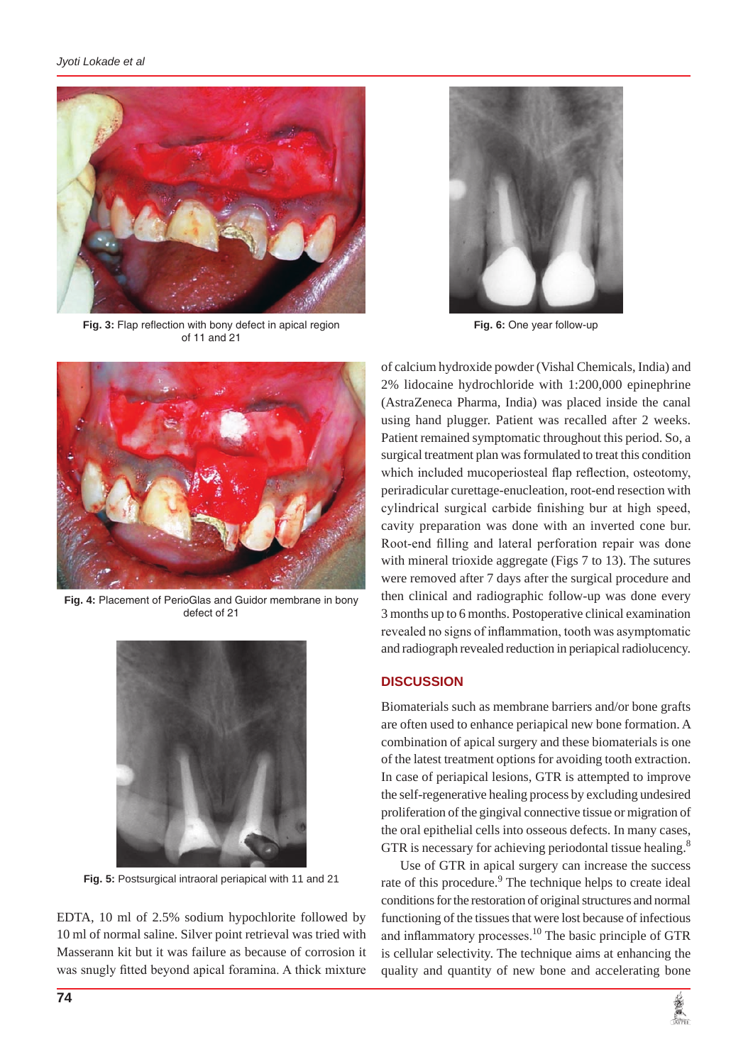

**Fig. 3:** Flap reflection with bony defect in apical region of 11 and 21



**Fig. 6:** One year follow-up



**Fig. 4:** Placement of PerioGlas and Guidor membrane in bony defect of 21



**Fig. 5:** Postsurgical intraoral periapical with 11 and 21

EDTA, 10 ml of 2.5% sodium hypochlorite followed by 10 ml of normal saline. Silver point retrieval was tried with Masserann kit but it was failure as because of corrosion it was snugly fitted beyond apical foramina. A thick mixture of calcium hydroxide powder (Vishal Chemicals, India) and 2% lidocaine hydrochloride with 1:200,000 epinephrine (AstraZeneca Pharma, India) was placed inside the canal using hand plugger. Patient was recalled after 2 weeks. Patient remained symptomatic throughout this period. So, a surgical treatment plan was formulated to treat this condition which included mucoperiosteal flap reflection, osteotomy, periradicular curettage-enucleation, root-end resection with cylindrical surgical carbide finishing bur at high speed, cavity preparation was done with an inverted cone bur. Root-end filling and lateral perforation repair was done with mineral trioxide aggregate (Figs 7 to 13). The sutures were removed after 7 days after the surgical procedure and then clinical and radiographic follow-up was done every 3 months up to 6 months. Postoperative clinical examination revealed no signs of inflammation, tooth was asymptomatic and radiograph revealed reduction in periapical radiolucency.

## **DISCUSSION**

Biomaterials such as membrane barriers and/or bone grafts are often used to enhance periapical new bone formation. A combination of apical surgery and these biomaterials is one of the latest treatment options for avoiding tooth extraction. In case of periapical lesions, GTR is attempted to improve the self-regenerative healing process by excluding undesired proliferation of the gingival connective tissue or migration of the oral epithelial cells into osseous defects. In many cases, GTR is necessary for achieving periodontal tissue healing.<sup>8</sup>

Use of GTR in apical surgery can increase the success rate of this procedure.<sup>9</sup> The technique helps to create ideal conditions for the restoration of original structures and normal functioning of the tissues that were lost because of infectious and inflammatory processes.<sup>10</sup> The basic principle of GTR is cellular selectivity. The technique aims at enhancing the quality and quantity of new bone and accelerating bone

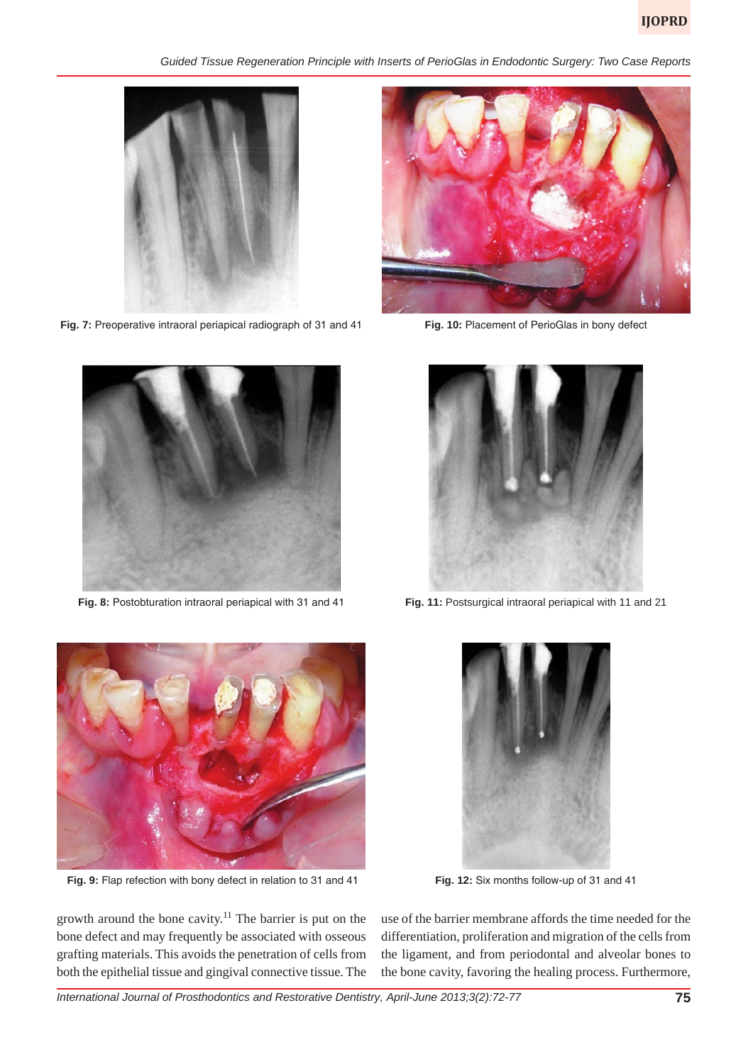*Guided Tissue Regeneration Principle with Inserts of PerioGlas in Endodontic Surgery: Two Case Reports*



**Fig. 7:** Preoperative intraoral periapical radiograph of 31 and 41



**Fig. 8:** Postobturation intraoral periapical with 31 and 41



**Fig. 10:** Placement of PerioGlas in bony defect



**Fig. 11:** Postsurgical intraoral periapical with 11 and 21



 **Fig. 9:** Flap refection with bony defect in relation to 31 and 41



**Fig. 12:** Six months follow-up of 31 and 41

growth around the bone cavity.11 The barrier is put on the bone defect and may frequently be associated with osseous grafting materials. This avoids the penetration of cells from both the epithelial tissue and gingival connective tissue. The

use of the barrier membrane affords the time needed for the differentiation, proliferation and migration of the cells from the ligament, and from periodontal and alveolar bones to the bone cavity, favoring the healing process. Furthermore,

*International Journal of Prosthodontics and Restorative Dentistry, April-June 2013;3(2):72-77* **75**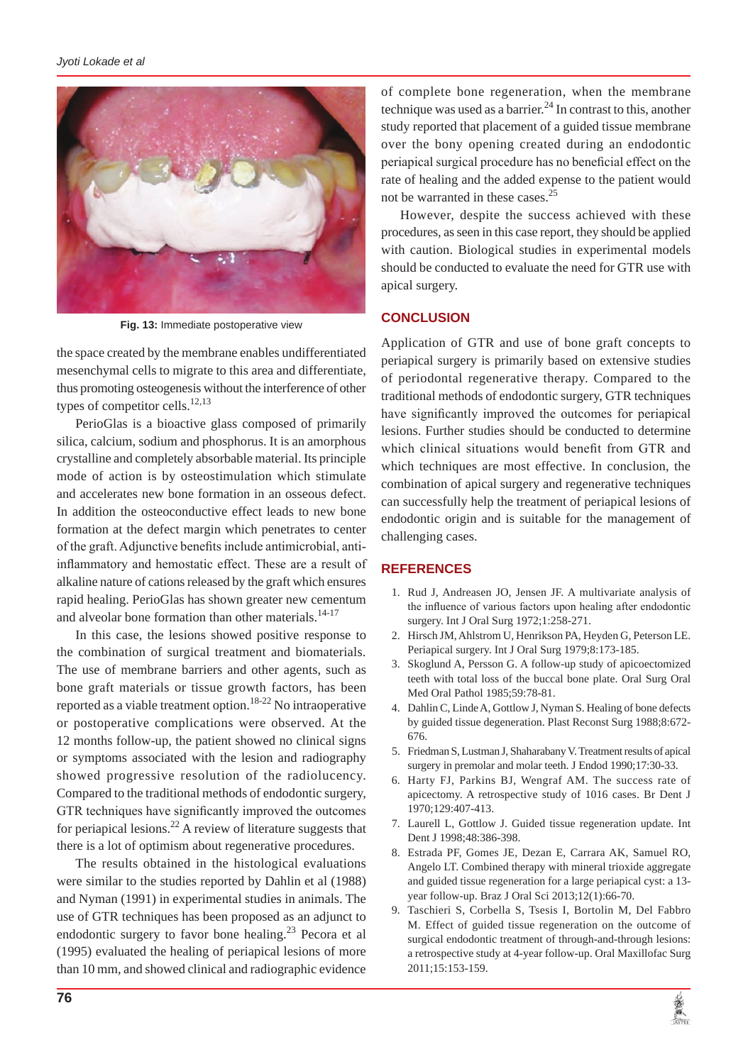

**Fig. 13:** Immediate postoperative view

the space created by the membrane enables undifferentiated mesenchymal cells to migrate to this area and differentiate, thus promoting osteogenesis without the interference of other types of competitor cells.<sup>12,13</sup>

PerioGlas is a bioactive glass composed of primarily silica, calcium, sodium and phosphorus. It is an amorphous crystalline and completely absorbable material. Its principle mode of action is by osteostimulation which stimulate and accelerates new bone formation in an osseous defect. In addition the osteoconductive effect leads to new bone formation at the defect margin which penetrates to center of the graft. Adjunctive benefits include antimicrobial, antiinflammatory and hemostatic effect. These are a result of alkaline nature of cations released by the graft which ensures rapid healing. PerioGlas has shown greater new cementum and alveolar bone formation than other materials.<sup>14-17</sup>

In this case, the lesions showed positive response to the combination of surgical treatment and biomaterials. The use of membrane barriers and other agents, such as bone graft materials or tissue growth factors, has been reported as a viable treatment option.<sup>18-22</sup> No intraoperative or postoperative complications were observed. At the 12 months follow-up, the patient showed no clinical signs or symptoms associated with the lesion and radiography showed progressive resolution of the radiolucency. Compared to the traditional methods of endodontic surgery, GTR techniques have significantly improved the outcomes for periapical lesions.<sup>22</sup> A review of literature suggests that there is a lot of optimism about regenerative procedures.

The results obtained in the histological evaluations were similar to the studies reported by Dahlin et al (1988) and Nyman (1991) in experimental studies in animals. The use of GTR techniques has been proposed as an adjunct to endodontic surgery to favor bone healing.<sup>23</sup> Pecora et al (1995) evaluated the healing of periapical lesions of more than 10 mm, and showed clinical and radiographic evidence

of complete bone regeneration, when the membrane technique was used as a barrier.<sup>24</sup> In contrast to this, another study reported that placement of a guided tissue membrane over the bony opening created during an endodontic periapical surgical procedure has no beneficial effect on the rate of healing and the added expense to the patient would not be warranted in these cases.<sup>25</sup>

However, despite the success achieved with these procedures, as seen in this case report, they should be applied with caution. Biological studies in experimental models should be conducted to evaluate the need for GTR use with apical surgery.

## **CONCLUSION**

Application of GTR and use of bone graft concepts to periapical surgery is primarily based on extensive studies of periodontal regenerative therapy. Compared to the traditional methods of endodontic surgery, GTR techniques have significantly improved the outcomes for periapical lesions. Further studies should be conducted to determine which clinical situations would benefit from GTR and which techniques are most effective. In conclusion, the combination of apical surgery and regenerative techniques can successfully help the treatment of periapical lesions of endodontic origin and is suitable for the management of challenging cases.

#### **REFERENCES**

- 1. Rud J, Andreasen JO, Jensen JF. A multivariate analysis of the influence of various factors upon healing after endodontic surgery. Int J Oral Surg 1972;1:258-271.
- 2. Hirsch JM, Ahlstrom U, Henrikson PA, Heyden G, Peterson LE. Periapical surgery. Int J Oral Surg 1979;8:173-185.
- 3. Skoglund A, Persson G. A follow-up study of apicoectomized teeth with total loss of the buccal bone plate. Oral Surg Oral Med Oral Pathol 1985;59:78-81.
- 4. Dahlin C, Linde A, Gottlow J, Nyman S. Healing of bone defects by guided tissue degeneration. Plast Reconst Surg 1988;8:672- 676.
- 5. Friedman S, Lustman J, Shaharabany V. Treatment results of apical surgery in premolar and molar teeth. J Endod 1990;17:30-33.
- 6. Harty FJ, Parkins BJ, Wengraf AM. The success rate of apicectomy. A retrospective study of 1016 cases. Br Dent J 1970;129:407-413.
- 7. Laurell L, Gottlow J. Guided tissue regeneration update. Int Dent J 1998;48:386-398.
- 8. Estrada PF, Gomes JE, Dezan E, Carrara AK, Samuel RO, Angelo LT. Combined therapy with mineral trioxide aggregate and guided tissue regeneration for a large periapical cyst: a 13 year follow-up. Braz J Oral Sci 2013;12(1):66-70.
- 9. Taschieri S, Corbella S, Tsesis I, Bortolin M, Del Fabbro M. Effect of guided tissue regeneration on the outcome of surgical endodontic treatment of through-and-through lesions: a retrospective study at 4-year follow-up. Oral Maxillofac Surg 2011;15:153-159.